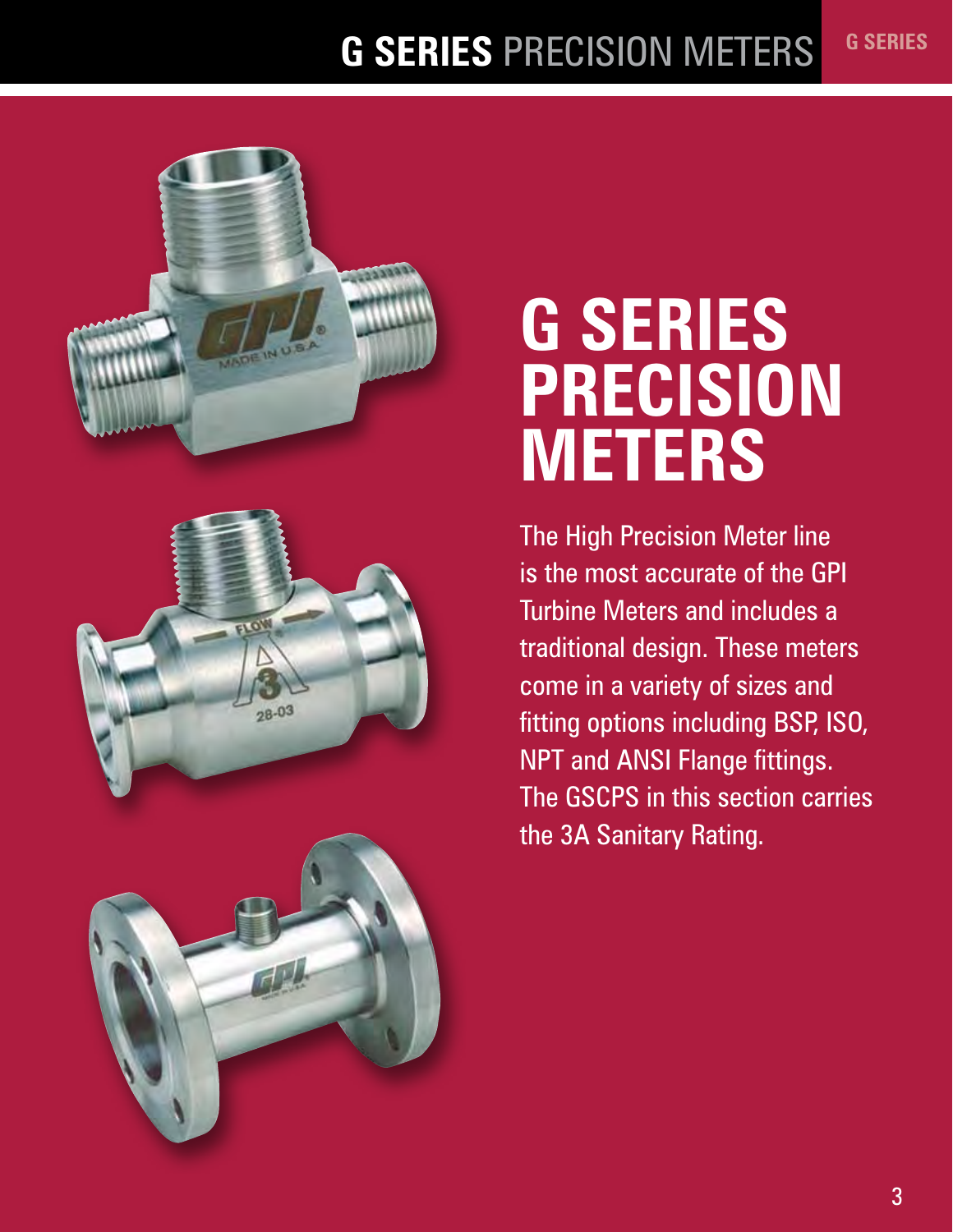#### **G SERIES** PRECISION METERS **G SERIES**







# **G SERIES PRECISION METERS**

The High Precision Meter line is the most accurate of the GPI Turbine Meters and includes a traditional design. These meters come in a variety of sizes and fitting options including BSP, ISO, NPT and ANSI Flange fittings. The GSCPS in this section carries the 3A Sanitary Rating.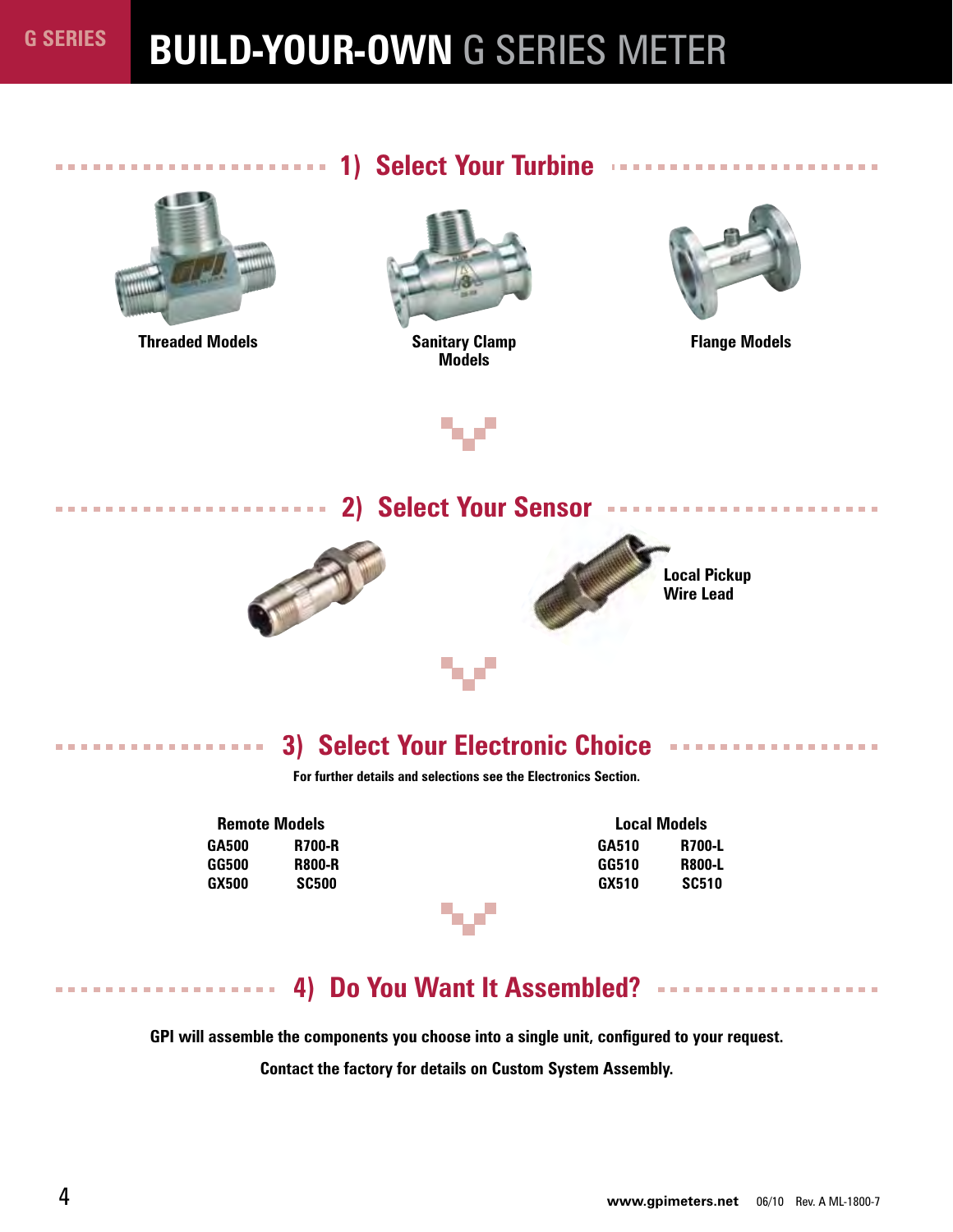# **BUILD-YOUR-OWN** G SERIES METER



**Threaded Models**

. . . . . . . . . . . . . . . . . .

-------------

## **1) Select Your Turbine**



**Sanitary Clamp Models**



**Flange Models**



**2008** Select Your Sensor **Fig. 1000000** Sensor **Fig. 2009** Select Your Sensor **Fig. 2009** 





**Local Pickup Wire Lead**

### **3) Select Your Electronic Choice**

**For further details and selections see the Electronics Section.**

| <b>Remote Models</b> |               |
|----------------------|---------------|
| GA500                | <b>R700-R</b> |
| GG500                | <b>R800-R</b> |
| GX500                | <b>SC500</b>  |

|       | <b>Local Models</b> |
|-------|---------------------|
| GA510 | R700-L              |
| GG510 | <b>R800-L</b>       |
| GX510 | <b>SC510</b>        |

## **4) Do You Want It Assembled?**

**GPI will assemble the components you choose into a single unit, configured to your request.**

**Contact the factory for details on Custom System Assembly.**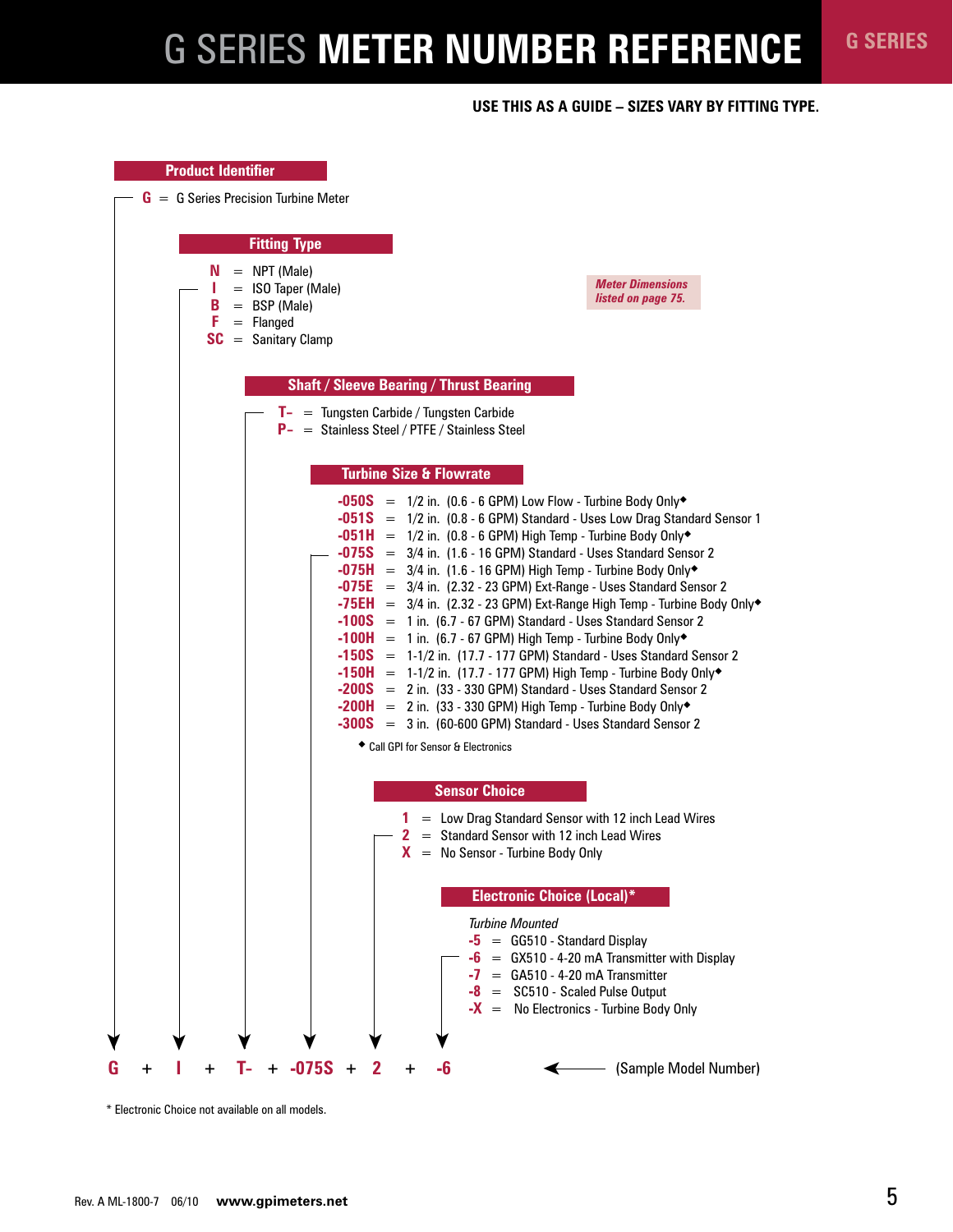# G SERIES **METER NUMBER REFERENCE G SERIES**

#### **Use this as a guide – sizes vary by fitting type.**



\* Electronic Choice not available on all models.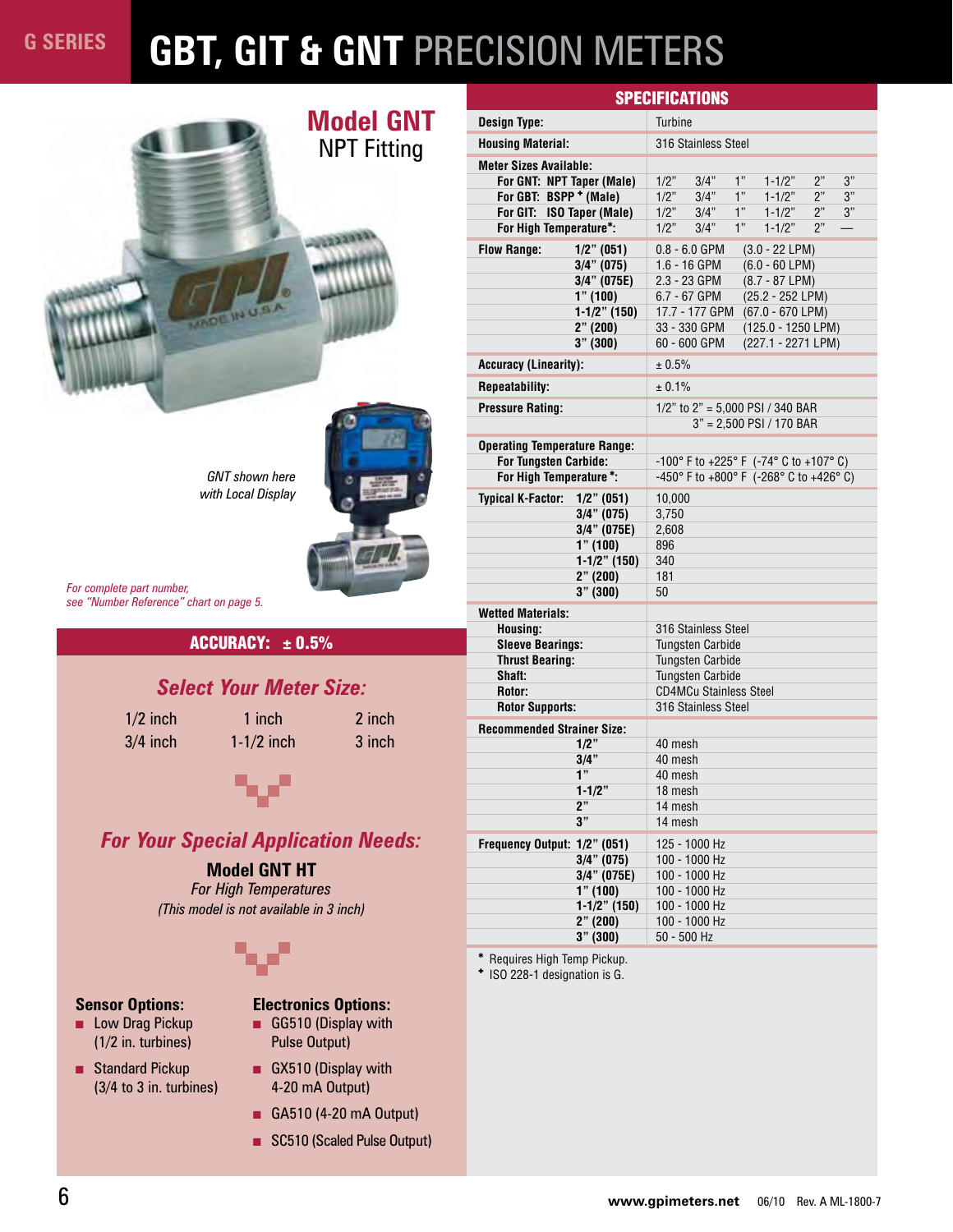# **GBT, GIT & GNT** PRECISION METERS



| GNT shown here     |  |
|--------------------|--|
| with Local Display |  |



*For complete part number, see "Number Reference" chart on page 5.*

#### ACCURACY:  $\pm$  0.5%

#### *Select Your Meter Size:*

1/2 inch 1 inch 2 inch  $3/4$  inch  $1-1/2$  inch  $3$  inch



### *For Your Special Application Needs:*

#### **Model GNT HT**

*For High Temperatures (This model is not available in 3 inch)*



#### **Sensor Options:**

- Low Drag Pickup (1/2 in. turbines)
- Standard Pickup (3/4 to 3 in. turbines)

### **Electronics Options:**

- GG510 (Display with Pulse Output)
- GX510 (Display with 4-20 mA Output)
- GA510 (4-20 mA Output)
- SC510 (Scaled Pulse Output)

|                                           | <b>SPECIFICATIONS</b>                                                                |  |  |  |  |
|-------------------------------------------|--------------------------------------------------------------------------------------|--|--|--|--|
| <b>Design Type:</b>                       | <b>Turbine</b>                                                                       |  |  |  |  |
| <b>Housing Material:</b>                  | 316 Stainless Steel                                                                  |  |  |  |  |
| <b>Meter Sizes Available:</b>             |                                                                                      |  |  |  |  |
| For GNT: NPT Taper (Male)                 | 1"<br>2"<br>3"<br>1/2"<br>3/4"<br>$1 - 1/2"$                                         |  |  |  |  |
| For GBT: BSPP + (Male)                    | 1"<br>3"<br>$1 - 1/2"$<br>2"<br>1/2"<br>3/4"                                         |  |  |  |  |
| For GIT: ISO Taper (Male)                 | 1"<br>2"<br>1/2"<br>$1 - 1/2"$<br>3"<br>3/4"<br>1"<br>2"<br>$\overline{\phantom{0}}$ |  |  |  |  |
| For High Temperature*:                    | 1/2"<br>3/4"<br>$1 - 1/2"$                                                           |  |  |  |  |
| <b>Flow Range:</b><br>$1/2$ " (051)       | $0.8 - 6.0$ GPM<br>$(3.0 - 22$ LPM)                                                  |  |  |  |  |
| $3/4$ " (075)                             | $(6.0 - 60$ LPM)<br>1.6 - 16 GPM                                                     |  |  |  |  |
| 3/4" (075E)<br>1" (100)                   | $(8.7 - 87 LPM)$<br>2.3 - 23 GPM<br>(25.2 - 252 LPM)<br>6.7 - 67 GPM                 |  |  |  |  |
| $1-1/2$ " (150)                           | 17.7 - 177 GPM<br>$(67.0 - 670$ LPM)                                                 |  |  |  |  |
| 2" (200)                                  | 33 - 330 GPM<br>(125.0 - 1250 LPM)                                                   |  |  |  |  |
| 3" (300)                                  | 60 - 600 GPM<br>(227.1 - 2271 LPM)                                                   |  |  |  |  |
| <b>Accuracy (Linearity):</b>              | $\pm 0.5\%$                                                                          |  |  |  |  |
| <b>Repeatability:</b>                     | ± 0.1%                                                                               |  |  |  |  |
| <b>Pressure Rating:</b>                   | 1/2" to 2" = 5,000 PSI / 340 BAR                                                     |  |  |  |  |
|                                           | $3" = 2.500$ PSI / 170 BAR                                                           |  |  |  |  |
| <b>Operating Temperature Range:</b>       |                                                                                      |  |  |  |  |
| <b>For Tungsten Carbide:</b>              | -100° F to +225° F (-74° C to +107° C)                                               |  |  |  |  |
| For High Temperature*:                    | -450° F to +800° F (-268° C to +426° C)                                              |  |  |  |  |
| <b>Typical K-Factor:</b><br>$1/2$ " (051) | 10,000                                                                               |  |  |  |  |
| $3/4$ " (075)                             | 3,750                                                                                |  |  |  |  |
| $3/4$ " (075E)                            | 2,608                                                                                |  |  |  |  |
| 1" (100)                                  | 896                                                                                  |  |  |  |  |
| $1-1/2$ " (150)                           | 340<br>181                                                                           |  |  |  |  |
| 2" (200)<br>3" (300)                      | 50                                                                                   |  |  |  |  |
|                                           |                                                                                      |  |  |  |  |
| <b>Wetted Materials:</b><br>Housing:      | 316 Stainless Steel                                                                  |  |  |  |  |
| <b>Sleeve Bearings:</b>                   | <b>Tungsten Carbide</b>                                                              |  |  |  |  |
| <b>Thrust Bearing:</b>                    | <b>Tungsten Carbide</b>                                                              |  |  |  |  |
| Shaft:                                    | <b>Tungsten Carbide</b>                                                              |  |  |  |  |
| Rotor:                                    | <b>CD4MCu Stainless Steel</b>                                                        |  |  |  |  |
| <b>Rotor Supports:</b>                    | 316 Stainless Steel                                                                  |  |  |  |  |
| <b>Recommended Strainer Size:</b>         |                                                                                      |  |  |  |  |
| $1/2$ "                                   | 40 mesh                                                                              |  |  |  |  |
| 3/4"<br>1"                                | 40 mesh<br>40 mesh                                                                   |  |  |  |  |
| $1 - 1/2"$                                | 18 mesh                                                                              |  |  |  |  |
| 2"                                        | 14 mesh                                                                              |  |  |  |  |
| 3"                                        | 14 mesh                                                                              |  |  |  |  |
| Frequency Output: 1/2" (051)              | 125 - 1000 Hz                                                                        |  |  |  |  |
| $3/4$ " (075)                             | 100 - 1000 Hz                                                                        |  |  |  |  |
| 3/4" (075E)                               | 100 - 1000 Hz                                                                        |  |  |  |  |
| 1" (100)                                  | 100 - 1000 Hz                                                                        |  |  |  |  |
| $1-1/2$ " (150)                           | 100 - 1000 Hz<br>100 - 1000 Hz                                                       |  |  |  |  |
| 2" (200)<br>3" (300)                      | 50 - 500 Hz                                                                          |  |  |  |  |
|                                           |                                                                                      |  |  |  |  |

✱ Requires High Temp Pickup.

: ISO 228-1 designation is G.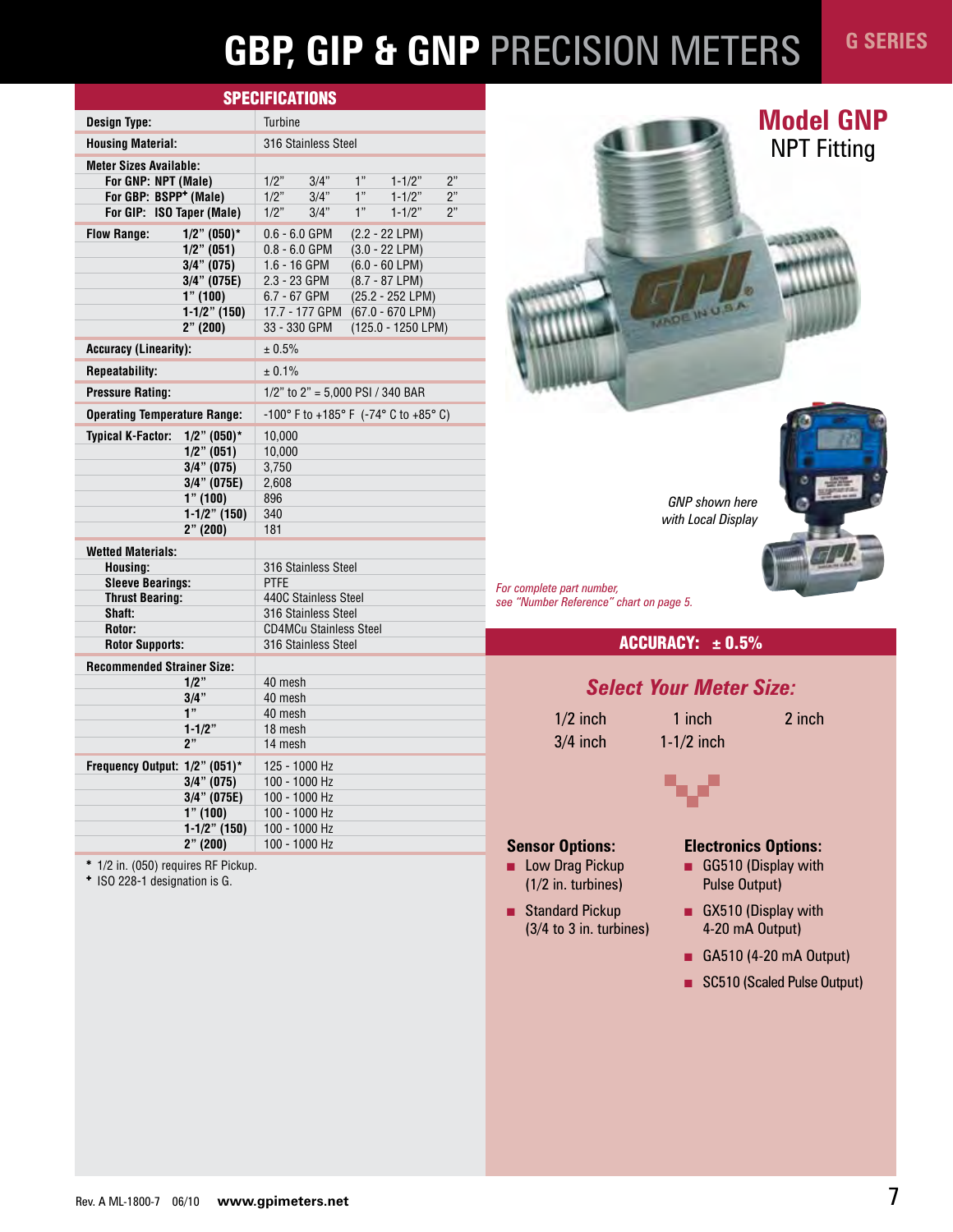# **GBP, GIP & GNP** PRECISION METERS

| <b>SPECIFICATIONS</b>                      |                                                                            |  |  |  |  |
|--------------------------------------------|----------------------------------------------------------------------------|--|--|--|--|
| <b>Design Type:</b>                        | Turbine                                                                    |  |  |  |  |
| <b>Housing Material:</b>                   | 316 Stainless Steel                                                        |  |  |  |  |
| <b>Meter Sizes Available:</b>              |                                                                            |  |  |  |  |
| For GNP: NPT (Male)                        | 2"<br>1/2"<br>1"<br>$1 - 1/2"$<br>3/4"                                     |  |  |  |  |
| For GBP: BSPP <sup>+</sup> (Male)          | 1"<br>2"<br>1/2"<br>3/4"<br>$1 - 1/2"$                                     |  |  |  |  |
| For GIP: ISO Taper (Male)                  | 1"<br>2"<br>1/2"<br>3/4"<br>$1 - 1/2"$                                     |  |  |  |  |
| <b>Flow Range:</b><br>$1/2$ " (050)*       | $(2.2 - 22 LPM)$<br>$0.6 - 6.0$ GPM                                        |  |  |  |  |
| $1/2$ " (051)                              | $(3.0 - 22 LPM)$<br>$0.8 - 6.0$ GPM                                        |  |  |  |  |
| $3/4$ " (075)                              | 1.6 - 16 GPM<br>$(6.0 - 60$ LPM)                                           |  |  |  |  |
| $3/4$ " (075E)                             | (8.7 - 87 LPM)<br>2.3 - 23 GPM                                             |  |  |  |  |
| 1" (100)                                   | 6.7 - 67 GPM<br>(25.2 - 252 LPM)                                           |  |  |  |  |
| $1-1/2$ " (150)                            | 17.7 - 177 GPM<br>$(67.0 - 670$ LPM)                                       |  |  |  |  |
| 2" (200)                                   | 33 - 330 GPM<br>(125.0 - 1250 LPM)                                         |  |  |  |  |
| <b>Accuracy (Linearity):</b>               | ± 0.5%                                                                     |  |  |  |  |
| <b>Repeatability:</b>                      | ± 0.1%                                                                     |  |  |  |  |
| <b>Pressure Rating:</b>                    | 1/2" to 2" = 5,000 PSI / 340 BAR                                           |  |  |  |  |
| <b>Operating Temperature Range:</b>        | $-100^{\circ}$ F to $+185^{\circ}$ F ( $-74^{\circ}$ C to $+85^{\circ}$ C) |  |  |  |  |
| <b>Typical K-Factor:</b><br>$1/2$ " (050)* | 10,000                                                                     |  |  |  |  |
| $1/2$ " (051)                              | 10,000                                                                     |  |  |  |  |
| $3/4$ " (075)                              | 3,750                                                                      |  |  |  |  |
| 3/4" (075E)                                | 2,608                                                                      |  |  |  |  |
| 1" (100)                                   | 896                                                                        |  |  |  |  |
| $1-1/2$ " (150)                            | 340                                                                        |  |  |  |  |
| 2" (200)                                   | 181                                                                        |  |  |  |  |
| <b>Wetted Materials:</b>                   |                                                                            |  |  |  |  |
| Housing:                                   | 316 Stainless Steel                                                        |  |  |  |  |
| <b>Sleeve Bearings:</b>                    | <b>PTFE</b>                                                                |  |  |  |  |
| <b>Thrust Bearing:</b>                     | 440C Stainless Steel                                                       |  |  |  |  |
| Shaft:                                     | 316 Stainless Steel                                                        |  |  |  |  |
| Rotor:                                     | <b>CD4MCu Stainless Steel</b>                                              |  |  |  |  |
| <b>Rotor Supports:</b>                     | 316 Stainless Steel                                                        |  |  |  |  |
| <b>Recommended Strainer Size:</b>          |                                                                            |  |  |  |  |
| $1/2$ "                                    | 40 mesh                                                                    |  |  |  |  |
| 3/4"<br>1"                                 | 40 mesh<br>40 mesh                                                         |  |  |  |  |
| $1 - 1/2"$                                 | 18 mesh                                                                    |  |  |  |  |
| 2"                                         | 14 mesh                                                                    |  |  |  |  |
|                                            |                                                                            |  |  |  |  |
| Frequency Output: 1/2" (051)*              | 125 - 1000 Hz                                                              |  |  |  |  |
| $3/4$ " (075)                              | 100 - 1000 Hz<br>100 - 1000 Hz                                             |  |  |  |  |
| 3/4" (075E)<br>$1"$ (100)                  |                                                                            |  |  |  |  |
|                                            |                                                                            |  |  |  |  |
| $1-1/2$ " (150)                            | 100 - 1000 Hz<br>100 - 1000 Hz                                             |  |  |  |  |

# **Model GNP** NPT Fitting

*<u>PARKERS</u>* 

*GNP shown here with Local Display*



*For complete part number, see "Number Reference" chart on page 5.*

#### ACCURACY:  $\pm$  0.5%

#### *Select Your Meter Size:*

3/4 inch 1-1/2 inch

1/2 inch 1 inch 2 inch

#### **Sensor Options:**

- Low Drag Pickup (1/2 in. turbines)
- Standard Pickup (3/4 to 3 in. turbines)

#### **Electronics Options:**

- GG510 (Display with Pulse Output)
- GX510 (Display with 4-20 mA Output)
- GA510 (4-20 mA Output)
- SC510 (Scaled Pulse Output)

✱ 1/2 in. (050) requires RF Pickup.

: ISO 228-1 designation is G.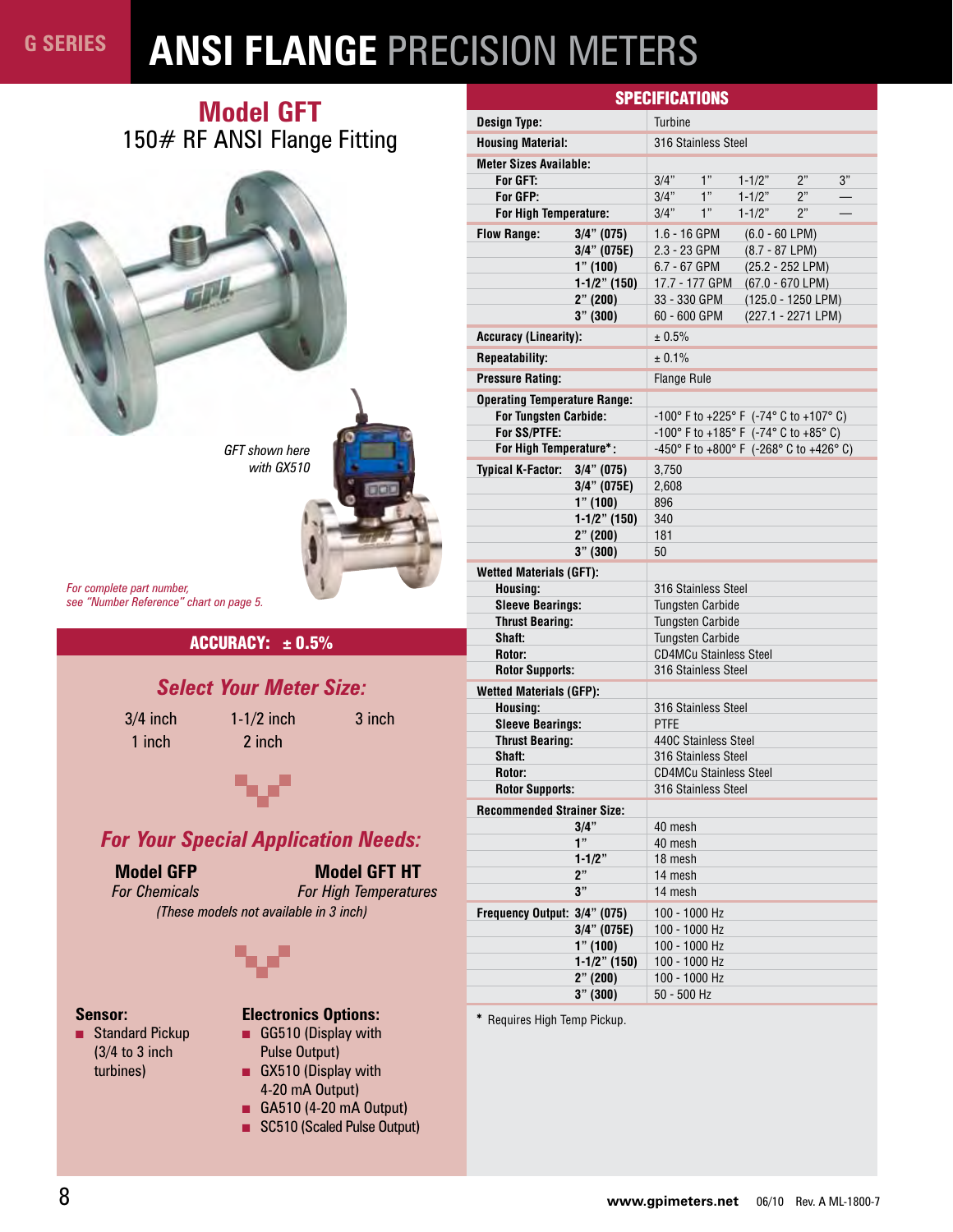# **ANSI FLANGE** PRECISION METERS

### **Model GFT** 150# RF ANSI Flange Fitting



*For complete part number, see "Number Reference" chart on page 5.*

#### ACCURACY:  $\pm$  0.5%

#### *Select Your Meter Size:*

1 inch 2 inch

 $3/4$  inch  $1-1/2$  inch  $3$  inch



*For Your Special Application Needs:*

#### **Model GFP**

*For Chemicals* **Model GFT HT**

*For High Temperatures*

*(These models not available in 3 inch)*



#### **Sensor:**

■ Standard Pickup (3/4 to 3 inch turbines)

#### **Electronics Options:**

- GG510 (Display with Pulse Output)
- GX510 (Display with 4-20 mA Output)
- GA510 (4-20 mA Output)
- SC510 (Scaled Pulse Output)

| <b>SPECIFICATIONS</b>                                        |                                                                                 |  |  |  |  |
|--------------------------------------------------------------|---------------------------------------------------------------------------------|--|--|--|--|
| <b>Design Type:</b>                                          | <b>Turbine</b>                                                                  |  |  |  |  |
| <b>Housing Material:</b>                                     | 316 Stainless Steel                                                             |  |  |  |  |
| <b>Meter Sizes Available:</b>                                |                                                                                 |  |  |  |  |
| For GFT:                                                     | 1"<br>3"<br>3/4"<br>2"<br>$1 - 1/2"$                                            |  |  |  |  |
| For GFP:                                                     | 1"<br>3/4"<br>$1 - 1/2"$<br>2"                                                  |  |  |  |  |
| For High Temperature:                                        | 1"<br>$1 - 1/2"$<br>2"<br>3/4"                                                  |  |  |  |  |
| <b>Flow Range:</b><br>$3/4$ " (075)                          | 1.6 - 16 GPM<br>$(6.0 - 60$ LPM)                                                |  |  |  |  |
| 3/4" (075E)                                                  | $(8.7 - 87 LPM)$<br>2.3 - 23 GPM                                                |  |  |  |  |
| 1" (100)                                                     | 6.7 - 67 GPM<br>(25.2 - 252 LPM)                                                |  |  |  |  |
| $1-1/2$ " (150)<br>2" (200)                                  | $(67.0 - 670$ LPM)<br>17.7 - 177 GPM<br>(125.0 - 1250 LPM)<br>33 - 330 GPM      |  |  |  |  |
| 3" (300)                                                     | (227.1 - 2271 LPM)<br>60 - 600 GPM                                              |  |  |  |  |
| <b>Accuracy (Linearity):</b>                                 | ± 0.5%                                                                          |  |  |  |  |
| <b>Repeatability:</b>                                        | ± 0.1%                                                                          |  |  |  |  |
| <b>Pressure Rating:</b>                                      |                                                                                 |  |  |  |  |
|                                                              | <b>Flange Rule</b>                                                              |  |  |  |  |
| <b>Operating Temperature Range:</b><br>For Tungsten Carbide: |                                                                                 |  |  |  |  |
| For SS/PTFE:                                                 | -100° F to +225° F (-74° C to +107° C)<br>-100° F to +185° F (-74° C to +85° C) |  |  |  |  |
| For High Temperature*:                                       | -450° F to +800° F (-268° C to +426° C)                                         |  |  |  |  |
| <b>Typical K-Factor:</b><br>$3/4$ " (075)                    | 3,750                                                                           |  |  |  |  |
| $3/4$ " (075E)                                               | 2,608                                                                           |  |  |  |  |
| 1" (100)                                                     | 896                                                                             |  |  |  |  |
| $1-1/2$ " (150)                                              | 340                                                                             |  |  |  |  |
| $2"$ (200)                                                   | 181                                                                             |  |  |  |  |
| 3" (300)                                                     | 50                                                                              |  |  |  |  |
| <b>Wetted Materials (GFT):</b>                               |                                                                                 |  |  |  |  |
| Housing:                                                     | 316 Stainless Steel                                                             |  |  |  |  |
| <b>Sleeve Bearings:</b>                                      | <b>Tungsten Carbide</b>                                                         |  |  |  |  |
| <b>Thrust Bearing:</b><br>Shaft:                             | <b>Tungsten Carbide</b><br><b>Tungsten Carbide</b>                              |  |  |  |  |
| Rotor:                                                       | <b>CD4MCu Stainless Steel</b>                                                   |  |  |  |  |
| <b>Rotor Supports:</b>                                       | 316 Stainless Steel                                                             |  |  |  |  |
| <b>Wetted Materials (GFP):</b>                               |                                                                                 |  |  |  |  |
| Housing:                                                     | 316 Stainless Steel                                                             |  |  |  |  |
| <b>Sleeve Bearings:</b>                                      | <b>PTFE</b>                                                                     |  |  |  |  |
| <b>Thrust Bearing:</b>                                       | 440C Stainless Steel                                                            |  |  |  |  |
| Shaft:                                                       | 316 Stainless Steel                                                             |  |  |  |  |
| Rotor:                                                       | <b>CD4MCu Stainless Steel</b>                                                   |  |  |  |  |
| <b>Rotor Supports:</b>                                       | 316 Stainless Steel                                                             |  |  |  |  |
| <b>Recommended Strainer Size:</b>                            |                                                                                 |  |  |  |  |
| $3/4$ "<br>1"                                                | 40 mesh<br>40 mesh                                                              |  |  |  |  |
| $1 - 1/2"$                                                   | 18 mesh                                                                         |  |  |  |  |
| 2"                                                           | 14 mesh                                                                         |  |  |  |  |
| 3"                                                           | 14 mesh                                                                         |  |  |  |  |
| Frequency Output: 3/4" (075)                                 | 100 - 1000 Hz                                                                   |  |  |  |  |
| $3/4$ " (075E)                                               | 100 - 1000 Hz                                                                   |  |  |  |  |
| 1" (100)                                                     | 100 - 1000 Hz                                                                   |  |  |  |  |
| $1-1/2$ " (150)                                              | 100 - 1000 Hz                                                                   |  |  |  |  |
| 2" (200)                                                     | 100 - 1000 Hz                                                                   |  |  |  |  |
| 3" (300)                                                     | 50 - 500 Hz                                                                     |  |  |  |  |

✱ Requires High Temp Pickup.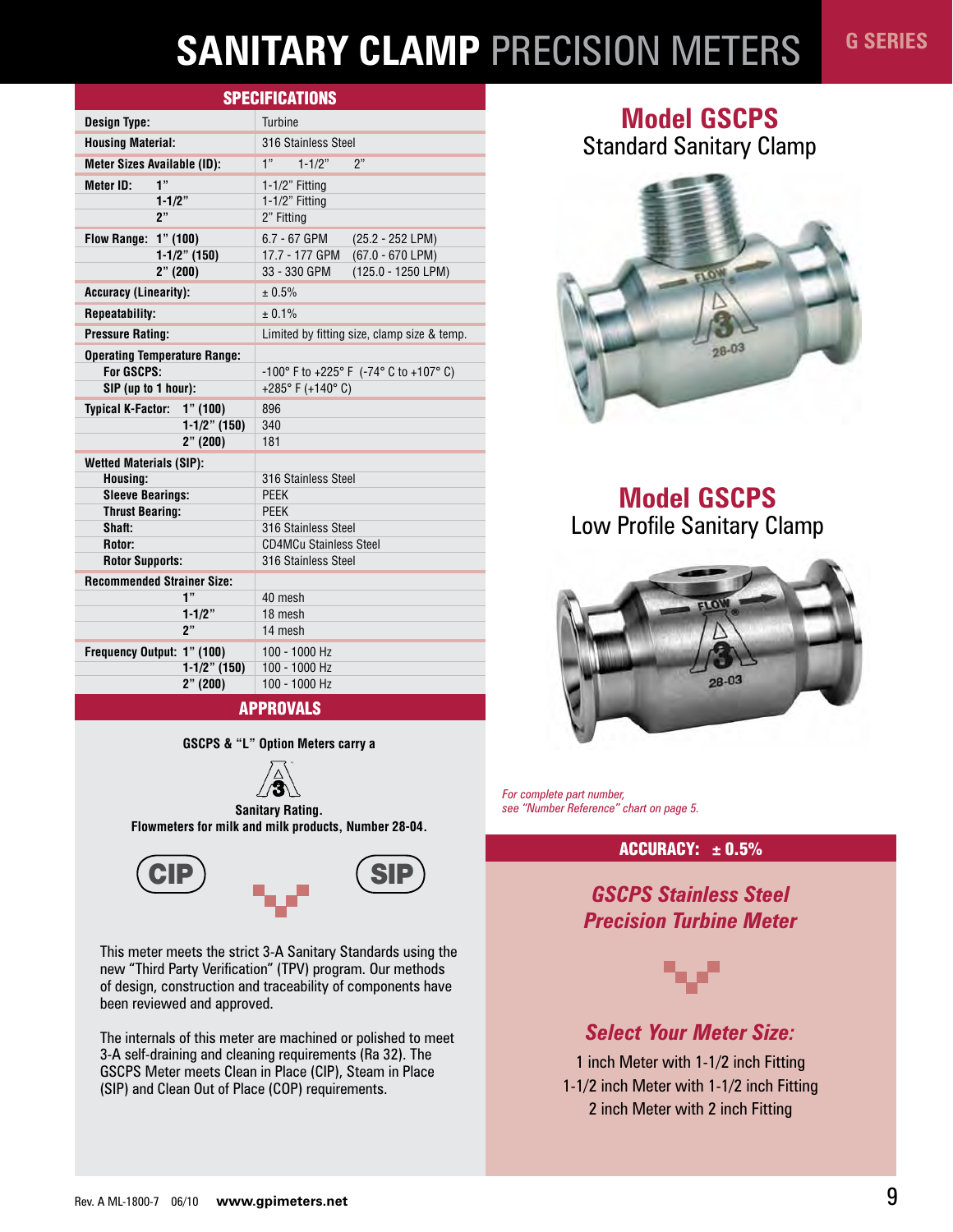# **SANITARY CLAMP** PRECISION METERS

|                                         | <b>SPECIFICATIONS</b>                                |
|-----------------------------------------|------------------------------------------------------|
| <b>Design Type:</b>                     | <b>Turbine</b>                                       |
| <b>Housing Material:</b>                | 316 Stainless Steel                                  |
| <b>Meter Sizes Available (ID):</b>      | 1"<br>$1 - 1/2"$<br>ን"                               |
| 1"<br>Meter ID:                         | $1-1/2$ " Fitting                                    |
| $1 - 1/2"$                              | $1-1/2$ " Fitting                                    |
| 2"                                      | 2" Fitting                                           |
| <b>Flow Range: 1" (100)</b>             | 6.7 - 67 GPM<br>(25.2 - 252 LPM)                     |
| $1-1/2$ " (150)                         | $(67.0 - 670$ LPM)<br>17.7 - 177 GPM                 |
| 2" (200)                                | (125.0 - 1250 LPM)<br>33 - 330 GPM                   |
| <b>Accuracy (Linearity):</b>            | ± 0.5%                                               |
| <b>Repeatability:</b>                   | $+0.1%$                                              |
| <b>Pressure Rating:</b>                 | Limited by fitting size, clamp size & temp.          |
| <b>Operating Temperature Range:</b>     |                                                      |
| For GSCPS:                              | -100° F to +225° F (-74° C to +107° C)               |
| SIP (up to 1 hour):                     | +285°F (+140°C)                                      |
| <b>Typical K-Factor:</b><br>1" (100)    | 896                                                  |
| $1-1/2$ " (150)                         | 340                                                  |
| 2" (200)                                | 181                                                  |
| <b>Wetted Materials (SIP):</b>          |                                                      |
| Housing:                                | 316 Stainless Steel                                  |
| <b>Sleeve Bearings:</b>                 | <b>PFFK</b>                                          |
| <b>Thrust Bearing:</b>                  | <b>PEEK</b>                                          |
| Shaft:                                  | 316 Stainless Steel                                  |
| Rotor:<br><b>Rotor Supports:</b>        | <b>CD4MCu Stainless Steel</b><br>316 Stainless Steel |
|                                         |                                                      |
| <b>Recommended Strainer Size:</b><br>1" | 40 mesh                                              |
| $1 - 1/2$ "                             | 18 mesh                                              |
| ን"                                      | 14 mesh                                              |
| Frequency Output: 1" (100)              | 100 - 1000 Hz                                        |
| $1-1/2$ " (150)                         | 100 - 1000 Hz                                        |
| 2" (200)                                | 100 - 1000 Hz                                        |

**GSCPS & "L" Option Meters carry a**



**Sanitary Rating. Flowmeters for milk and milk products, Number 28-04.**



This meter meets the strict 3-A Sanitary Standards using the new "Third Party Verification" (TPV) program. Our methods of design, construction and traceability of components have been reviewed and approved.

The internals of this meter are machined or polished to meet 3-A self-draining and cleaning requirements (Ra 32). The GSCPS Meter meets Clean in Place (CIP), Steam in Place (SIP) and Clean Out of Place (COP) requirements.

# **Model GSCPS**

Standard Sanitary Clamp



**Model GSCPS** Low Profile Sanitary Clamp



*For complete part number, see "Number Reference" chart on page 5.*

### $ACCURACY: ± 0.5%$

*GSCPS Stainless Steel Precision Turbine Meter*



### *Select Your Meter Size:*

1 inch Meter with 1-1/2 inch Fitting 1-1/2 inch Meter with 1-1/2 inch Fitting 2 inch Meter with 2 inch Fitting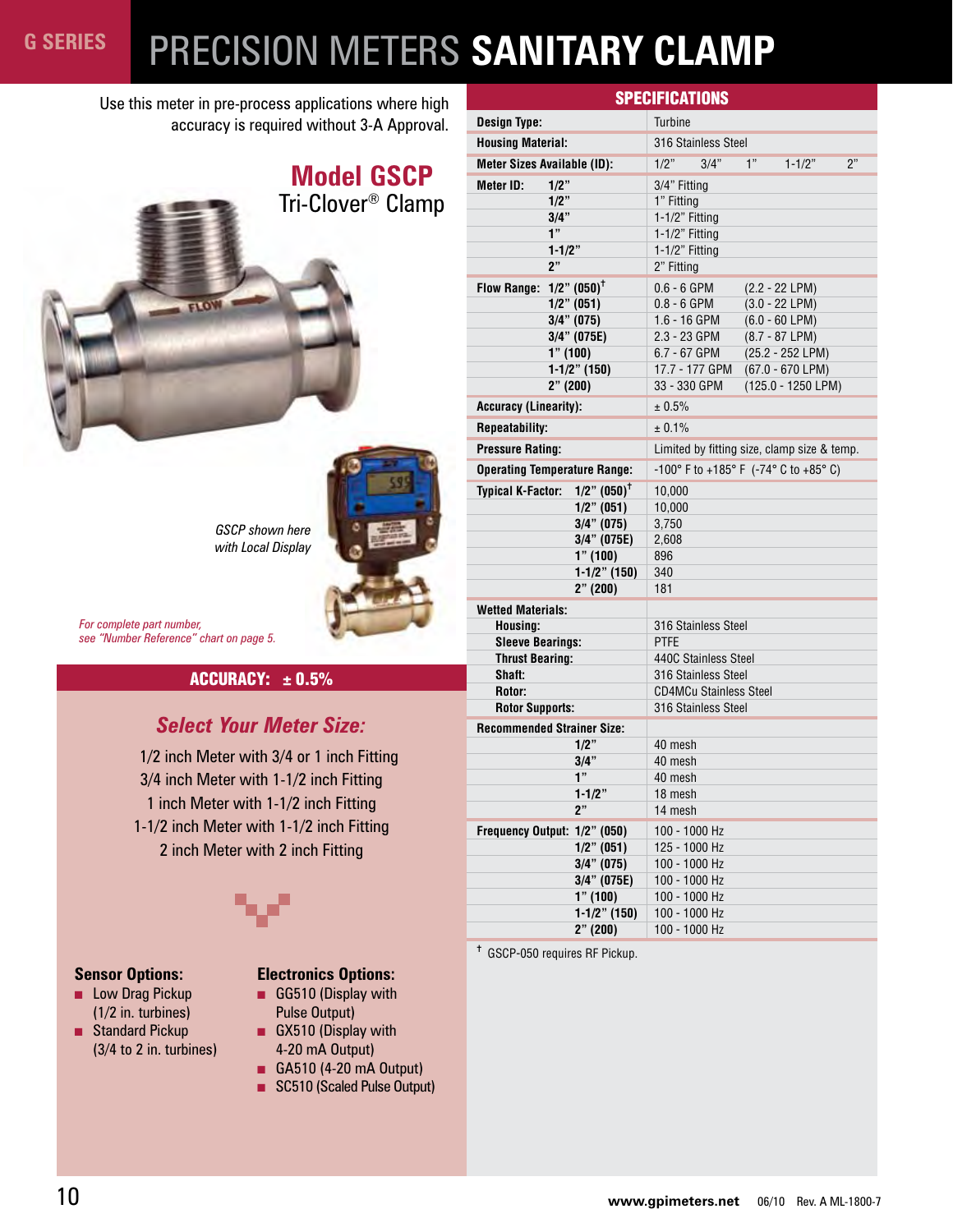# PRECISION METERS **SANITARY CLAMP**

Use this meter in pre-process applications where high accuracy is required without 3-A Approval.



*GSCP shown here with Local Display*

*For complete part number, see "Number Reference" chart on page 5.*

#### $ACCURACY:  $\pm 0.5\%$$

#### *Select Your Meter Size:*

1/2 inch Meter with 3/4 or 1 inch Fitting 3/4 inch Meter with 1-1/2 inch Fitting 1 inch Meter with 1-1/2 inch Fitting 1-1/2 inch Meter with 1-1/2 inch Fitting 2 inch Meter with 2 inch Fitting



#### **Sensor Options:**

- Low Drag Pickup (1/2 in. turbines)
- Standard Pickup (3/4 to 2 in. turbines)

#### **Electronics Options:**

- GG510 (Display with Pulse Output) ■ GX510 (Display with
- 4-20 mA Output)
- GA510 (4-20 mA Output)
- SC510 (Scaled Pulse Output)

| <b>SPECIFICATIONS</b>                  |                           |                |                                             |    |                                             |    |
|----------------------------------------|---------------------------|----------------|---------------------------------------------|----|---------------------------------------------|----|
| <b>Design Type:</b>                    |                           | <b>Turbine</b> |                                             |    |                                             |    |
| <b>Housing Material:</b>               |                           |                | 316 Stainless Steel                         |    |                                             |    |
| <b>Meter Sizes Available (ID):</b>     |                           | 1/2"           | 3/4"                                        | 1" | $1 - 1/2"$                                  | ን" |
| <b>Meter ID:</b><br>$1/2$ "            |                           | 3/4" Fitting   |                                             |    |                                             |    |
| 1/2"                                   |                           | 1" Fitting     |                                             |    |                                             |    |
| 3/4"                                   |                           | 1-1/2" Fitting |                                             |    |                                             |    |
| 1"                                     |                           | 1-1/2" Fitting |                                             |    |                                             |    |
| $1 - 1/2"$                             |                           | 1-1/2" Fitting |                                             |    |                                             |    |
| 2"                                     |                           | 2" Fitting     |                                             |    |                                             |    |
| Flow Range: $1/2$ " (050) <sup>†</sup> |                           | $0.6 - 6$ GPM  |                                             |    | $(2.2 - 22 LPM)$                            |    |
| $1/2$ " (051)                          |                           | $0.8 - 6$ GPM  |                                             |    | $(3.0 - 22$ LPM)                            |    |
| $3/4$ " (075)                          |                           | $1.6 - 16$ GPM |                                             |    | $(6.0 - 60$ LPM)                            |    |
| $3/4$ " (075E)                         |                           | 2.3 - 23 GPM   |                                             |    | $(8.7 - 87 LPM)$                            |    |
| 1" (100)                               |                           | 6.7 - 67 GPM   |                                             |    | (25.2 - 252 LPM)                            |    |
|                                        | $1-1/2$ " (150)           |                | 17.7 - 177 GPM                              |    | $(67.0 - 670$ LPM)                          |    |
| 2" (200)                               |                           | 33 - 330 GPM   |                                             |    | (125.0 - 1250 LPM)                          |    |
| <b>Accuracy (Linearity):</b>           |                           | ± 0.5%         |                                             |    |                                             |    |
| <b>Repeatability:</b>                  |                           | ± 0.1%         |                                             |    |                                             |    |
| <b>Pressure Rating:</b>                |                           |                |                                             |    | Limited by fitting size, clamp size & temp. |    |
| <b>Operating Temperature Range:</b>    |                           |                |                                             |    | -100° F to +185° F (-74° C to +85° C)       |    |
| <b>Typical K-Factor:</b>               | $1/2$ " $(050)^{\dagger}$ | 10,000         |                                             |    |                                             |    |
|                                        | $1/2$ " (051)             | 10,000         |                                             |    |                                             |    |
|                                        | $3/4$ " (075)             | 3,750          |                                             |    |                                             |    |
|                                        | $3/4$ " (075E)            | 2,608          |                                             |    |                                             |    |
|                                        | 1" (100)                  | 896            |                                             |    |                                             |    |
|                                        | $1-1/2$ " (150)           | 340            |                                             |    |                                             |    |
|                                        | 2" (200)                  | 181            |                                             |    |                                             |    |
| <b>Wetted Materials:</b>               |                           |                |                                             |    |                                             |    |
| Housing:                               |                           |                | 316 Stainless Steel                         |    |                                             |    |
| <b>Sleeve Bearings:</b>                |                           | <b>PTFE</b>    |                                             |    |                                             |    |
| <b>Thrust Bearing:</b><br>Shaft:       |                           |                | 440C Stainless Steel<br>316 Stainless Steel |    |                                             |    |
| Rotor:                                 |                           |                | <b>CD4MCu Stainless Steel</b>               |    |                                             |    |
| <b>Rotor Supports:</b>                 |                           |                | 316 Stainless Steel                         |    |                                             |    |
| <b>Recommended Strainer Size:</b>      |                           |                |                                             |    |                                             |    |
|                                        | $1/2$ "                   | 40 mesh        |                                             |    |                                             |    |
|                                        | $3/4$ "                   | 40 mesh        |                                             |    |                                             |    |
|                                        | 1"                        | 40 mesh        |                                             |    |                                             |    |
|                                        | $1 - 1/2$ "               | 18 mesh        |                                             |    |                                             |    |
|                                        | 2"                        | 14 mesh        |                                             |    |                                             |    |
| Frequency Output: 1/2" (050)           |                           |                | 100 - 1000 Hz                               |    |                                             |    |
|                                        | $1/2$ " (051)             |                | 125 - 1000 Hz                               |    |                                             |    |
|                                        | $3/4$ " (075)             |                | 100 - 1000 Hz                               |    |                                             |    |
|                                        | 3/4" (075E)               |                | 100 - 1000 Hz                               |    |                                             |    |
|                                        | 1" (100)                  |                | 100 - 1000 Hz                               |    |                                             |    |
|                                        | $1-1/2$ " (150)           |                | 100 - 1000 Hz                               |    |                                             |    |
|                                        | 2" (200)                  | 100 - 1000 Hz  |                                             |    |                                             |    |

✝ GSCP-050 requires RF Pickup.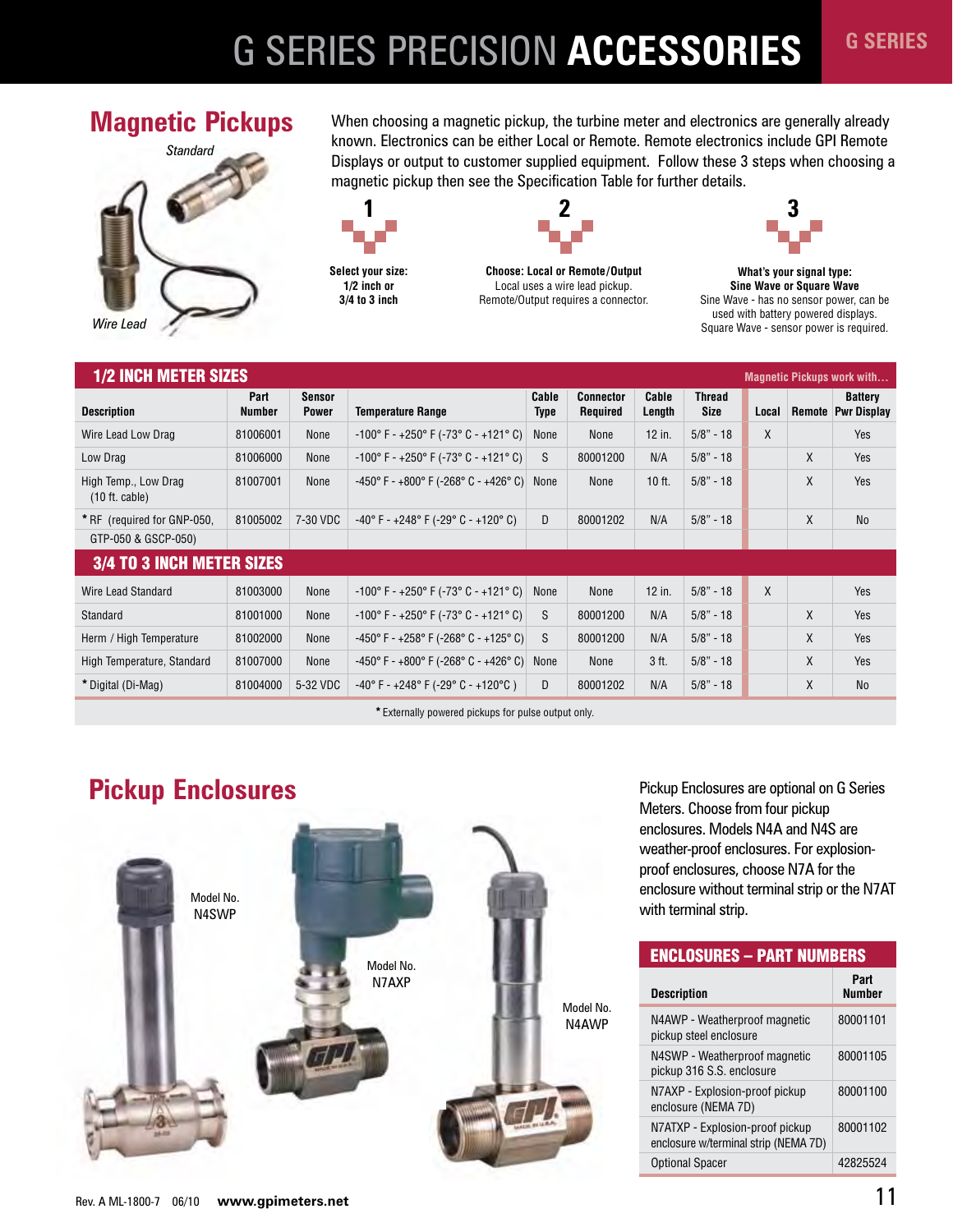# G SERIES PRECISION **ACCESSORIES**



**Magnetic Pickups** When choosing a magnetic pickup, the turbine meter and electronics are generally already known. Electronics can be either Local or Remote. Remote electronics include GPI Remote Displays or output to customer supplied equipment. Follow these 3 steps when choosing a magnetic pickup then see the Specification Table for further details.







**Choose: Local or Remote/Output**  Local uses a wire lead pickup. Remote/Output requires a connector.



**G SERIES**

**What's your signal type: Sine Wave or Square Wave** Sine Wave - has no sensor power, can be used with battery powered displays. Square Wave - sensor power is required.

| <b>1/2 INCH METER SIZES</b>                      |                       |                               |                                                                           |                      |                                     |                 |                |       |        | <b>Magnetic Pickups work with</b>    |
|--------------------------------------------------|-----------------------|-------------------------------|---------------------------------------------------------------------------|----------------------|-------------------------------------|-----------------|----------------|-------|--------|--------------------------------------|
| <b>Description</b>                               | Part<br><b>Number</b> | <b>Sensor</b><br><b>Power</b> | <b>Temperature Range</b>                                                  | Cable<br><b>Type</b> | <b>Connector</b><br><b>Required</b> | Cable<br>Length | Thread<br>Size | Local | Remote | <b>Battery</b><br><b>Pwr Display</b> |
| Wire Lead Low Drag                               | 81006001              | None                          | $-100^{\circ}$ F - $+250^{\circ}$ F ( $-73^{\circ}$ C - $+121^{\circ}$ C) | None                 | None                                | 12 in.          | $5/8" - 18$    | X     |        | Yes                                  |
| Low Drag                                         | 81006000              | None                          | $-100^{\circ}$ F - $+250^{\circ}$ F ( $-73^{\circ}$ C - $+121^{\circ}$ C) | S                    | 80001200                            | N/A             | $5/8" - 18$    |       | X      | Yes                                  |
| High Temp., Low Drag<br>$(10 \text{ ft. cable})$ | 81007001              | None                          | $-450^{\circ}$ F - $+800^{\circ}$ F (-268° C - $+426^{\circ}$ C)          | None                 | None                                | $10$ ft.        | $5/8" - 18$    |       | X      | Yes                                  |
| * RF (required for GNP-050,                      | 81005002              | 7-30 VDC                      | $-40^{\circ}$ F - $+248^{\circ}$ F (-29° C - $+120^{\circ}$ C)            | D                    | 80001202                            | N/A             | $5/8" - 18$    |       | X      | <b>No</b>                            |
| GTP-050 & GSCP-050)                              |                       |                               |                                                                           |                      |                                     |                 |                |       |        |                                      |
| <b>3/4 TO 3 INCH METER SIZES</b>                 |                       |                               |                                                                           |                      |                                     |                 |                |       |        |                                      |
| Wire Lead Standard                               | 81003000              | None                          | $-100^{\circ}$ F - $+250^{\circ}$ F ( $-73^{\circ}$ C - $+121^{\circ}$ C) | None                 | None                                | 12 in.          | $5/8" - 18$    | X     |        | Yes                                  |
| Standard                                         | 81001000              | None                          | $-100^{\circ}$ F - $+250^{\circ}$ F ( $-73^{\circ}$ C - $+121^{\circ}$ C) | S                    | 80001200                            | N/A             | $5/8" - 18$    |       | X      | Yes                                  |
| Herm / High Temperature                          | 81002000              | None                          | $-450^{\circ}$ F - $+258^{\circ}$ F (-268° C - $+125^{\circ}$ C)          | S                    | 80001200                            | N/A             | $5/8" - 18$    |       | X      | Yes                                  |
| High Temperature, Standard                       | 81007000              | None                          | -450° F - +800° F (-268° C - +426° C)                                     | None                 | None                                | 3 ft.           | $5/8" - 18$    |       | X      | Yes                                  |
| * Digital (Di-Mag)                               | 81004000              | 5-32 VDC                      | $-40^{\circ}$ F - $+248^{\circ}$ F (-29° C - $+120^{\circ}$ C)            | D                    | 80001202                            | N/A             | $5/8" - 18$    |       | X      | <b>No</b>                            |

**\***Externally powered pickups for pulse output only.

# **Pickup Enclosures**



Pickup Enclosures are optional on G Series Meters. Choose from four pickup enclosures. Models N4A and N4S are weather-proof enclosures. For explosionproof enclosures, choose N7A for the enclosure without terminal strip or the N7AT with terminal strip.

| <b>ENCLOSURES - PART NUMBERS</b>                                        |                       |
|-------------------------------------------------------------------------|-----------------------|
| <b>Description</b>                                                      | Part<br><b>Number</b> |
| N4AWP - Weatherproof magnetic<br>pickup steel enclosure                 | 80001101              |
| N4SWP - Weatherproof magnetic<br>pickup 316 S.S. enclosure              | 80001105              |
| N7AXP - Explosion-proof pickup<br>enclosure (NEMA 7D)                   | 80001100              |
| N7ATXP - Explosion-proof pickup<br>enclosure w/terminal strip (NEMA 7D) | 80001102              |
| <b>Optional Spacer</b>                                                  | 42825524              |
|                                                                         |                       |